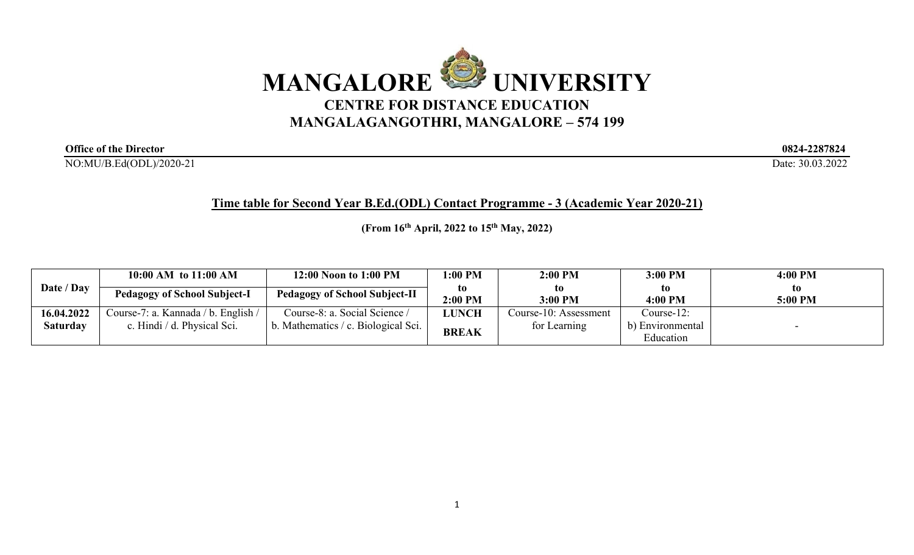

**Office of the Director 0824-2287824** 

NO:MU/B.Ed(ODL)/2020-21 Date: 30.03.2022

**Time table for Second Year B.Ed.(ODL) Contact Programme - 3 (Academic Year 2020-21)**

**(From 16th April, 2022 to 15th May, 2022)**

|            | 10:00 AM to 11:00 AM                | 12:00 Noon to 1:00 PM                | 1:00 PM      | 2:00 PM               | 3:00 PM          | 4:00 PM |
|------------|-------------------------------------|--------------------------------------|--------------|-----------------------|------------------|---------|
| Date / Day | <b>Pedagogy of School Subject-I</b> | <b>Pedagogy of School Subject-II</b> | to.          | to                    | to               | to.     |
|            |                                     |                                      | 2:00 PM      | 3:00 PM               | 4:00 PM          | 5:00 PM |
| 16.04.2022 | Course-7: a. Kannada / b. English / | Course-8: a. Social Science /        | <b>JUNCH</b> | Course-10: Assessment | $Course-12$ :    |         |
| Saturday   | c. Hindi / d. Physical Sci.         | b. Mathematics / c. Biological Sci.  |              | for Learning          | b) Environmental |         |
|            |                                     |                                      | <b>BREAK</b> |                       | Education        |         |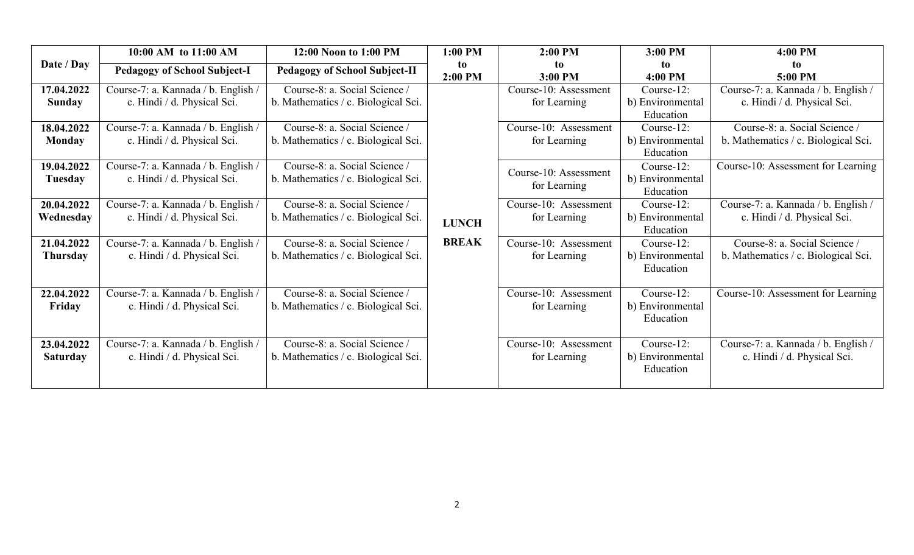|                               | 10:00 AM to 11:00 AM                                               | 12:00 Noon to 1:00 PM                                                | $1:00$ PM     | $2:00$ PM                             | 3:00 PM                                     | 4:00 PM                                                              |
|-------------------------------|--------------------------------------------------------------------|----------------------------------------------------------------------|---------------|---------------------------------------|---------------------------------------------|----------------------------------------------------------------------|
| Date / Day                    | <b>Pedagogy of School Subject-I</b>                                | <b>Pedagogy of School Subject-II</b>                                 | to<br>2:00 PM | to.<br>3:00 PM                        | to<br>4:00 PM                               | to.<br>5:00 PM                                                       |
| 17.04.2022<br><b>Sunday</b>   | Course-7: a. Kannada / b. English /<br>c. Hindi / d. Physical Sci. | Course-8: a. Social Science /<br>b. Mathematics / c. Biological Sci. |               | Course-10: Assessment<br>for Learning | Course-12:<br>b) Environmental<br>Education | Course-7: a. Kannada / b. English /<br>c. Hindi / d. Physical Sci.   |
| 18.04.2022<br><b>Monday</b>   | Course-7: a. Kannada / b. English /<br>c. Hindi / d. Physical Sci. | Course-8: a. Social Science /<br>b. Mathematics / c. Biological Sci. |               | Course-10: Assessment<br>for Learning | Course-12:<br>b) Environmental<br>Education | Course-8: a. Social Science /<br>b. Mathematics / c. Biological Sci. |
| 19.04.2022<br><b>Tuesday</b>  | Course-7: a. Kannada / b. English /<br>c. Hindi / d. Physical Sci. | Course-8: a. Social Science /<br>b. Mathematics / c. Biological Sci. |               | Course-10: Assessment<br>for Learning | Course-12:<br>b) Environmental<br>Education | Course-10: Assessment for Learning                                   |
| 20.04.2022<br>Wednesday       | Course-7: a. Kannada / b. English /<br>c. Hindi / d. Physical Sci. | Course-8: a. Social Science /<br>b. Mathematics / c. Biological Sci. | <b>LUNCH</b>  | Course-10: Assessment<br>for Learning | Course-12:<br>b) Environmental<br>Education | Course-7: a. Kannada / b. English /<br>c. Hindi / d. Physical Sci.   |
| 21.04.2022<br><b>Thursday</b> | Course-7: a. Kannada / b. English /<br>c. Hindi / d. Physical Sci. | Course-8: a. Social Science /<br>b. Mathematics / c. Biological Sci. | <b>BREAK</b>  | Course-10: Assessment<br>for Learning | Course-12:<br>b) Environmental<br>Education | Course-8: a. Social Science /<br>b. Mathematics / c. Biological Sci. |
| 22.04.2022<br>Friday          | Course-7: a. Kannada / b. English /<br>c. Hindi / d. Physical Sci. | Course-8: a. Social Science /<br>b. Mathematics / c. Biological Sci. |               | Course-10: Assessment<br>for Learning | Course-12:<br>b) Environmental<br>Education | Course-10: Assessment for Learning                                   |
| 23.04.2022<br><b>Saturday</b> | Course-7: a. Kannada / b. English /<br>c. Hindi / d. Physical Sci. | Course-8: a. Social Science /<br>b. Mathematics / c. Biological Sci. |               | Course-10: Assessment<br>for Learning | Course-12:<br>b) Environmental<br>Education | Course-7: a. Kannada / b. English /<br>c. Hindi / d. Physical Sci.   |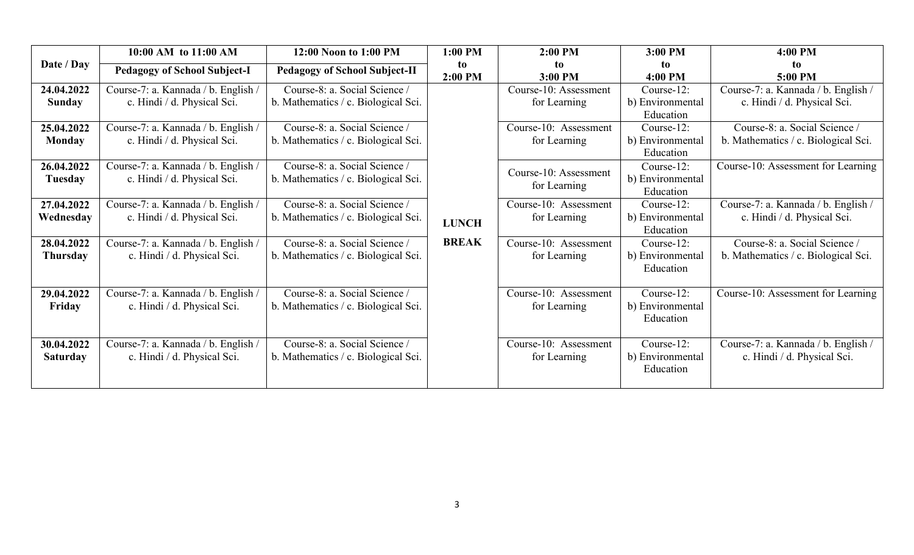|                               | 10:00 AM to 11:00 AM                                               | 12:00 Noon to 1:00 PM                                                | 1:00 PM       | $2:00$ PM                             | 3:00 PM                                     | 4:00 PM                                                              |
|-------------------------------|--------------------------------------------------------------------|----------------------------------------------------------------------|---------------|---------------------------------------|---------------------------------------------|----------------------------------------------------------------------|
| Date / Day                    | <b>Pedagogy of School Subject-I</b>                                | <b>Pedagogy of School Subject-II</b>                                 | to<br>2:00 PM | to.<br>3:00 PM                        | to<br>4:00 PM                               | to.<br>5:00 PM                                                       |
| 24.04.2022<br><b>Sunday</b>   | Course-7: a. Kannada / b. English /<br>c. Hindi / d. Physical Sci. | Course-8: a. Social Science /<br>b. Mathematics / c. Biological Sci. |               | Course-10: Assessment<br>for Learning | Course-12:<br>b) Environmental<br>Education | Course-7: a. Kannada / b. English /<br>c. Hindi / d. Physical Sci.   |
| 25.04.2022<br><b>Monday</b>   | Course-7: a. Kannada / b. English /<br>c. Hindi / d. Physical Sci. | Course-8: a. Social Science /<br>b. Mathematics / c. Biological Sci. |               | Course-10: Assessment<br>for Learning | Course-12:<br>b) Environmental<br>Education | Course-8: a. Social Science /<br>b. Mathematics / c. Biological Sci. |
| 26.04.2022<br><b>Tuesday</b>  | Course-7: a. Kannada / b. English /<br>c. Hindi / d. Physical Sci. | Course-8: a. Social Science /<br>b. Mathematics / c. Biological Sci. |               | Course-10: Assessment<br>for Learning | Course-12:<br>b) Environmental<br>Education | Course-10: Assessment for Learning                                   |
| 27.04.2022<br>Wednesday       | Course-7: a. Kannada / b. English /<br>c. Hindi / d. Physical Sci. | Course-8: a. Social Science /<br>b. Mathematics / c. Biological Sci. | <b>LUNCH</b>  | Course-10: Assessment<br>for Learning | Course-12:<br>b) Environmental<br>Education | Course-7: a. Kannada / b. English /<br>c. Hindi / d. Physical Sci.   |
| 28.04.2022<br><b>Thursday</b> | Course-7: a. Kannada / b. English /<br>c. Hindi / d. Physical Sci. | Course-8: a. Social Science /<br>b. Mathematics / c. Biological Sci. | <b>BREAK</b>  | Course-10: Assessment<br>for Learning | Course-12:<br>b) Environmental<br>Education | Course-8: a. Social Science /<br>b. Mathematics / c. Biological Sci. |
| 29.04.2022<br>Friday          | Course-7: a. Kannada / b. English /<br>c. Hindi / d. Physical Sci. | Course-8: a. Social Science /<br>b. Mathematics / c. Biological Sci. |               | Course-10: Assessment<br>for Learning | Course-12:<br>b) Environmental<br>Education | Course-10: Assessment for Learning                                   |
| 30.04.2022<br><b>Saturday</b> | Course-7: a. Kannada / b. English /<br>c. Hindi / d. Physical Sci. | Course-8: a. Social Science /<br>b. Mathematics / c. Biological Sci. |               | Course-10: Assessment<br>for Learning | Course-12:<br>b) Environmental<br>Education | Course-7: a. Kannada / b. English /<br>c. Hindi / d. Physical Sci.   |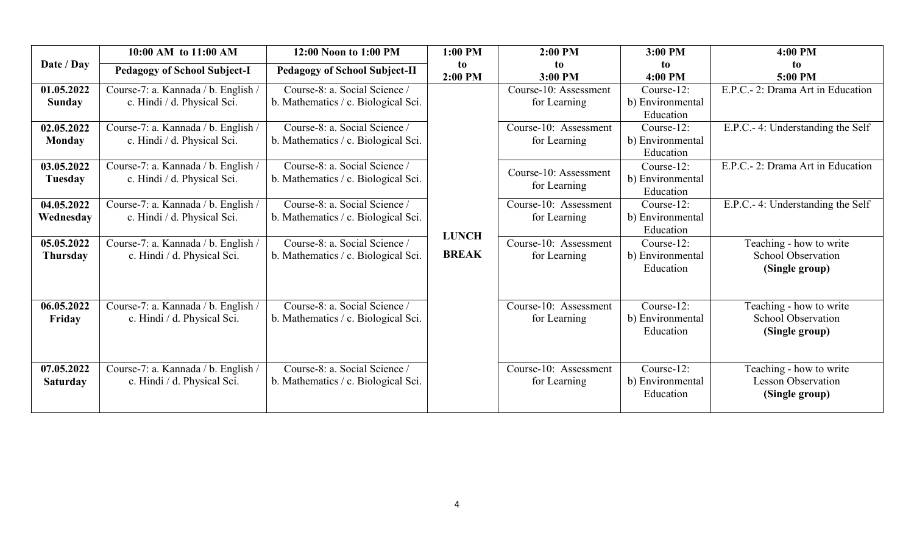| Date / Day                    | 10:00 AM to 11:00 AM                                               | 12:00 Noon to 1:00 PM                                                | $1:00$ PM<br>to<br>2:00 PM | $2:00$ PM                             | 3:00 PM                                     | 4:00 PM                                                                |
|-------------------------------|--------------------------------------------------------------------|----------------------------------------------------------------------|----------------------------|---------------------------------------|---------------------------------------------|------------------------------------------------------------------------|
|                               | <b>Pedagogy of School Subject-I</b>                                | <b>Pedagogy of School Subject-II</b>                                 |                            | to<br>3:00 PM                         | to<br>4:00 PM                               | to<br>5:00 PM                                                          |
| 01.05.2022<br><b>Sunday</b>   | Course-7: a. Kannada / b. English /<br>c. Hindi / d. Physical Sci. | Course-8: a. Social Science /<br>b. Mathematics / c. Biological Sci. |                            | Course-10: Assessment<br>for Learning | Course-12:<br>b) Environmental<br>Education | E.P.C.- 2: Drama Art in Education                                      |
| 02.05.2022<br><b>Monday</b>   | Course-7: a. Kannada / b. English /<br>c. Hindi / d. Physical Sci. | Course-8: a. Social Science /<br>b. Mathematics / c. Biological Sci. |                            | Course-10: Assessment<br>for Learning | Course-12:<br>b) Environmental<br>Education | E.P.C.- 4: Understanding the Self                                      |
| 03.05.2022<br>Tuesday         | Course-7: a. Kannada / b. English /<br>c. Hindi / d. Physical Sci. | Course-8: a. Social Science /<br>b. Mathematics / c. Biological Sci. |                            | Course-10: Assessment<br>for Learning | Course-12:<br>b) Environmental<br>Education | E.P.C.- 2: Drama Art in Education                                      |
| 04.05.2022<br>Wednesday       | Course-7: a. Kannada / b. English /<br>c. Hindi / d. Physical Sci. | Course-8: a. Social Science /<br>b. Mathematics / c. Biological Sci. | <b>LUNCH</b>               | Course-10: Assessment<br>for Learning | Course-12:<br>b) Environmental<br>Education | E.P.C.- 4: Understanding the Self                                      |
| 05.05.2022<br><b>Thursday</b> | Course-7: a. Kannada / b. English /<br>c. Hindi / d. Physical Sci. | Course-8: a. Social Science /<br>b. Mathematics / c. Biological Sci. | <b>BREAK</b>               | Course-10: Assessment<br>for Learning | Course-12:<br>b) Environmental<br>Education | Teaching - how to write<br><b>School Observation</b><br>(Single group) |
| 06.05.2022<br>Friday          | Course-7: a. Kannada / b. English /<br>c. Hindi / d. Physical Sci. | Course-8: a. Social Science /<br>b. Mathematics / c. Biological Sci. |                            | Course-10: Assessment<br>for Learning | Course-12:<br>b) Environmental<br>Education | Teaching - how to write<br><b>School Observation</b><br>(Single group) |
| 07.05.2022<br><b>Saturday</b> | Course-7: a. Kannada / b. English /<br>c. Hindi / d. Physical Sci. | Course-8: a. Social Science /<br>b. Mathematics / c. Biological Sci. |                            | Course-10: Assessment<br>for Learning | Course-12:<br>b) Environmental<br>Education | Teaching - how to write<br><b>Lesson Observation</b><br>(Single group) |